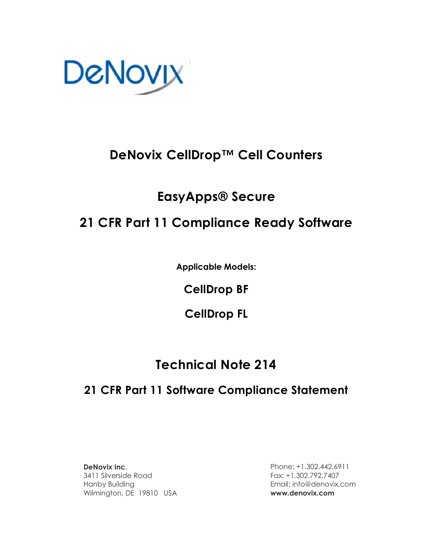

## **DeNovix CellDrop™ Cell Counters**

## **EasyApps® Secure**

# **21 CFR Part 11 Compliance Ready Software**

**Applicable Models:**

**CellDrop BF**

**CellDrop FL**

# **Technical Note 214**

## **21 CFR Part 11 Software Compliance Statement**

**DeNovix Inc**. 3411 Silverside Road Hanby Building Wilmington, DE 19810 USA

Phone: +1.302.442.6911 Fax: +1.302.792.7407 Email: info@denovix.com **www.denovix.com**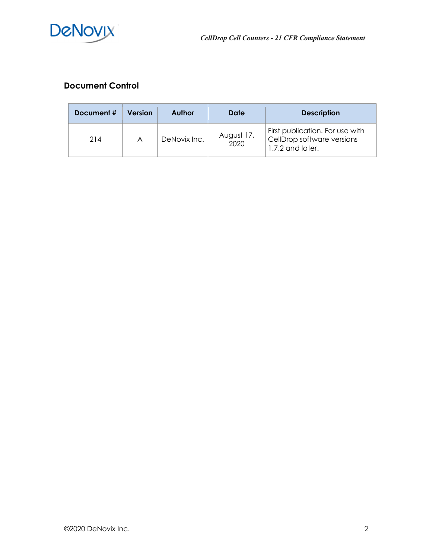

## **Document Control**

| Document # | <b>Version</b> | <b>Author</b> | Date               | <b>Description</b>                                                                |
|------------|----------------|---------------|--------------------|-----------------------------------------------------------------------------------|
| 214        | A              | DeNovix Inc.  | August 17,<br>2020 | First publication. For use with<br>CellDrop software versions<br>1.7.2 and later. |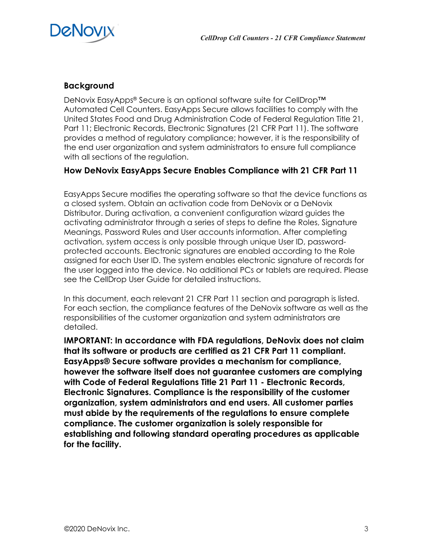

#### **Background**

DeNovix EasyApps® Secure is an optional software suite for CellDrop™ Automated Cell Counters. EasyApps Secure allows facilities to comply with the United States Food and Drug Administration Code of Federal Regulation Title 21, Part 11; Electronic Records, Electronic Signatures (21 CFR Part 11). The software provides a method of regulatory compliance; however, it is the responsibility of the end user organization and system administrators to ensure full compliance with all sections of the regulation.

### **How DeNovix EasyApps Secure Enables Compliance with 21 CFR Part 11**

EasyApps Secure modifies the operating software so that the device functions as a closed system. Obtain an activation code from DeNovix or a DeNovix Distributor. During activation, a convenient configuration wizard guides the activating administrator through a series of steps to define the Roles, Signature Meanings, Password Rules and User accounts information. After completing activation, system access is only possible through unique User ID, passwordprotected accounts. Electronic signatures are enabled according to the Role assigned for each User ID. The system enables electronic signature of records for the user logged into the device. No additional PCs or tablets are required. Please see the CellDrop User Guide for detailed instructions.

In this document, each relevant 21 CFR Part 11 section and paragraph is listed. For each section, the compliance features of the DeNovix software as well as the responsibilities of the customer organization and system administrators are detailed.

**IMPORTANT: In accordance with FDA regulations, DeNovix does not claim that its software or products are certified as 21 CFR Part 11 compliant. EasyApps® Secure software provides a mechanism for compliance, however the software itself does not guarantee customers are complying with Code of Federal Regulations Title 21 Part 11 - Electronic Records, Electronic Signatures. Compliance is the responsibility of the customer organization, system administrators and end users. All customer parties must abide by the requirements of the regulations to ensure complete compliance. The customer organization is solely responsible for establishing and following standard operating procedures as applicable for the facility.**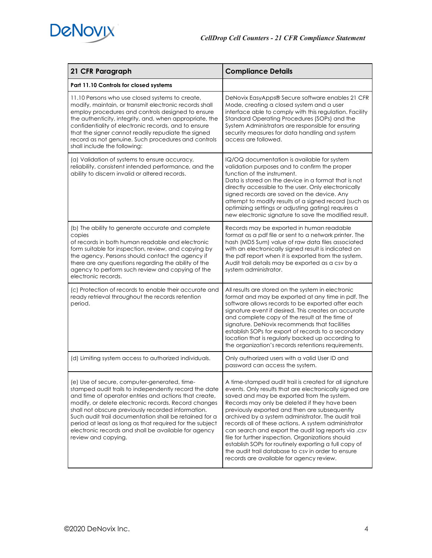

| 21 CFR Paragraph                                                                                                                                                                                                                                                                                                                                                                                                                                                                  | <b>Compliance Details</b>                                                                                                                                                                                                                                                                                                                                                                                                                                                                                                                                                                                                                                 |  |
|-----------------------------------------------------------------------------------------------------------------------------------------------------------------------------------------------------------------------------------------------------------------------------------------------------------------------------------------------------------------------------------------------------------------------------------------------------------------------------------|-----------------------------------------------------------------------------------------------------------------------------------------------------------------------------------------------------------------------------------------------------------------------------------------------------------------------------------------------------------------------------------------------------------------------------------------------------------------------------------------------------------------------------------------------------------------------------------------------------------------------------------------------------------|--|
| Part 11.10 Controls for closed systems                                                                                                                                                                                                                                                                                                                                                                                                                                            |                                                                                                                                                                                                                                                                                                                                                                                                                                                                                                                                                                                                                                                           |  |
| 11.10 Persons who use closed systems to create,<br>modify, maintain, or transmit electronic records shall<br>employ procedures and controls designed to ensure<br>the authenticity, integrity, and, when appropriate, the<br>confidentiality of electronic records, and to ensure<br>that the signer cannot readily repudiate the signed<br>record as not genuine. Such procedures and controls<br>shall include the following:                                                   | DeNovix EasyApps® Secure software enables 21 CFR<br>Mode, creating a closed system and a user<br>interface able to comply with this regulation. Facility<br>Standard Operating Procedures (SOPs) and the<br>System Administrators are responsible for ensuring<br>security measures for data handling and system<br>access are followed.                                                                                                                                                                                                                                                                                                                  |  |
| (a) Validation of systems to ensure accuracy,<br>reliability, consistent intended performance, and the<br>ability to discern invalid or altered records.                                                                                                                                                                                                                                                                                                                          | IQ/OQ documentation is available for system<br>validation purposes and to confirm the proper<br>function of the instrument.<br>Data is stored on the device in a format that is not<br>directly accessible to the user. Only electronically<br>signed records are saved on the device. Any<br>attempt to modify results of a signed record (such as<br>optimizing settings or adjusting gating) requires a<br>new electronic signature to save the modified result.                                                                                                                                                                                       |  |
| (b) The ability to generate accurate and complete<br>copies<br>of records in both human readable and electronic<br>form suitable for inspection, review, and copying by<br>the agency. Persons should contact the agency if<br>there are any questions regarding the ability of the<br>agency to perform such review and copying of the<br>electronic records.                                                                                                                    | Records may be exported in human readable<br>format as a pdf file or sent to a network printer. The<br>hash (MD5 Sum) value of raw data files associated<br>with an electronically signed result is indicated on<br>the pdf report when it is exported from the system.<br>Audit trail details may be exported as a csv by a<br>system administrator.                                                                                                                                                                                                                                                                                                     |  |
| (c) Protection of records to enable their accurate and<br>ready retrieval throughout the records retention<br>period.                                                                                                                                                                                                                                                                                                                                                             | All results are stored on the system in electronic<br>format and may be exported at any time in pdf. The<br>software allows records to be exported after each<br>signature event if desired. This creates an accurate<br>and complete copy of the result at the time of<br>signature. DeNovix recommends that facilities<br>establish SOPs for export of records to a secondary<br>location that is regularly backed up according to<br>the organization's records retentions requirements.                                                                                                                                                               |  |
| (d) Limiting system access to authorized individuals.                                                                                                                                                                                                                                                                                                                                                                                                                             | Only authorized users with a valid User ID and<br>password can access the system.                                                                                                                                                                                                                                                                                                                                                                                                                                                                                                                                                                         |  |
| (e) Use of secure, computer-generated, time-<br>stamped audit trails to independently record the date<br>and time of operator entries and actions that create,<br>modify, or delete electronic records. Record changes<br>shall not obscure previously recorded information.<br>Such audit trail documentation shall be retained for a<br>period at least as long as that required for the subject<br>electronic records and shall be available for agency<br>review and copying. | A time-stamped audit trail is created for all signature<br>events. Only results that are electronically signed are<br>saved and may be exported from the system.<br>Records may only be deleted if they have been<br>previously exported and then are subsequently<br>archived by a system administrator. The audit trail<br>records all of these actions. A system administrator<br>can search and export the audit log reports via .csv<br>file for further inspection. Organizations should<br>establish SOPs for routinely exporting a full copy of<br>the audit trail database to csv in order to ensure<br>records are available for agency review. |  |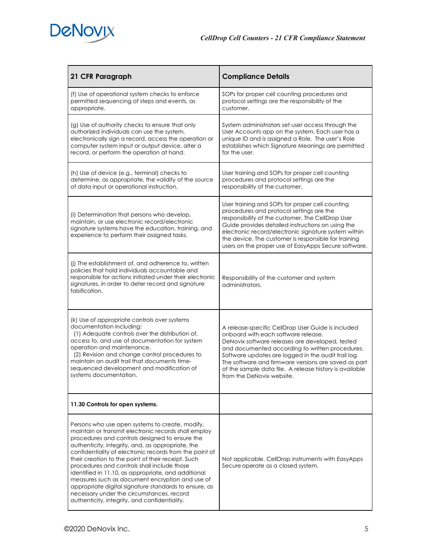

| 21 CFR Paragraph                                                                                                                                                                                                                                                                                                                                                                                                                                                                                                                                                                                                                                | <b>Compliance Details</b>                                                                                                                                                                                                                                                                                                                                                                              |
|-------------------------------------------------------------------------------------------------------------------------------------------------------------------------------------------------------------------------------------------------------------------------------------------------------------------------------------------------------------------------------------------------------------------------------------------------------------------------------------------------------------------------------------------------------------------------------------------------------------------------------------------------|--------------------------------------------------------------------------------------------------------------------------------------------------------------------------------------------------------------------------------------------------------------------------------------------------------------------------------------------------------------------------------------------------------|
| (f) Use of operational system checks to enforce<br>permitted sequencing of steps and events, as<br>appropriate.                                                                                                                                                                                                                                                                                                                                                                                                                                                                                                                                 | SOPs for proper cell counting procedures and<br>protocol settings are the responsibility of the<br>customer.                                                                                                                                                                                                                                                                                           |
| (g) Use of authority checks to ensure that only<br>authorized individuals can use the system,<br>electronically sign a record, access the operation or<br>computer system input or output device, alter a<br>record, or perform the operation at hand.                                                                                                                                                                                                                                                                                                                                                                                          | System administrators set user access through the<br>User Accounts app on the system. Each user has a<br>unique ID and is assigned a Role. The user's Role<br>establishes which Signature Meanings are permitted<br>for the user.                                                                                                                                                                      |
| (h) Use of device (e.g., terminal) checks to<br>determine, as appropriate, the validity of the source<br>of data input or operational instruction.                                                                                                                                                                                                                                                                                                                                                                                                                                                                                              | User training and SOPs for proper cell counting<br>procedures and protocol settings are the<br>responsibility of the customer.                                                                                                                                                                                                                                                                         |
| (i) Determination that persons who develop,<br>maintain, or use electronic record/electronic<br>signature systems have the education, training, and<br>experience to perform their assigned tasks.                                                                                                                                                                                                                                                                                                                                                                                                                                              | User training and SOPs for proper cell counting<br>procedures and protocol settings are the<br>responsibility of the customer. The CellDrop User<br>Guide provides detailed instructions on using the<br>electronic record/electronic signature system within<br>the device. The customer is responsible for training<br>users on the proper use of EasyApps Secure software.                          |
| (i) The establishment of, and adherence to, written<br>policies that hold individuals accountable and<br>responsible for actions initiated under their electronic<br>signatures, in order to deter record and signature<br>falsification.                                                                                                                                                                                                                                                                                                                                                                                                       | Responsibility of the customer and system<br>administrators.                                                                                                                                                                                                                                                                                                                                           |
| (k) Use of appropriate controls over systems<br>documentation including:<br>(1) Adequate controls over the distribution of,<br>access to, and use of documentation for system<br>operation and maintenance.<br>(2) Revision and change control procedures to<br>maintain an audit trail that documents time-<br>sequenced development and modification of<br>systems documentation.                                                                                                                                                                                                                                                             | A release-specific CellDrop User Guide is included<br>onboard with each software release.<br>DeNovix software releases are developed, tested<br>and documented according to written procedures.<br>Software updates are logged in the audit trail log.<br>The software and firmware versions are saved as part<br>of the sample data file. A release history is available<br>from the DeNovix website. |
| 11.30 Controls for open systems.                                                                                                                                                                                                                                                                                                                                                                                                                                                                                                                                                                                                                |                                                                                                                                                                                                                                                                                                                                                                                                        |
| Persons who use open systems to create, modify,<br>maintain or transmit electronic records shall employ<br>procedures and controls designed to ensure the<br>authenticity, integrity, and, as appropriate, the<br>confidentiality of electronic records from the point of<br>their creation to the point of their receipt. Such<br>procedures and controls shall include those<br>identified in 11.10, as appropriate, and additional<br>measures such as document encryption and use of<br>appropriate digital signature standards to ensure, as<br>necessary under the circumstances, record<br>authenticity, integrity, and confidentiality. | Not applicable. CellDrop instruments with EasyApps<br>Secure operate as a closed system.                                                                                                                                                                                                                                                                                                               |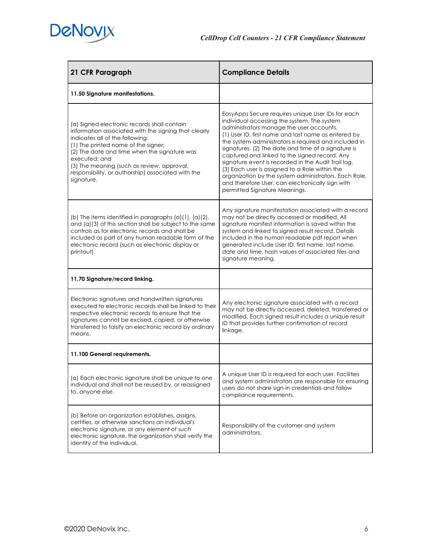

| 21 CFR Paragraph                                                                                                                                                                                                                                                                                                                                                 | <b>Compliance Details</b>                                                                                                                                                                                                                                                                                                                                                                                                                                                                                                                                                                                                   |
|------------------------------------------------------------------------------------------------------------------------------------------------------------------------------------------------------------------------------------------------------------------------------------------------------------------------------------------------------------------|-----------------------------------------------------------------------------------------------------------------------------------------------------------------------------------------------------------------------------------------------------------------------------------------------------------------------------------------------------------------------------------------------------------------------------------------------------------------------------------------------------------------------------------------------------------------------------------------------------------------------------|
| 11.50 Signature manifestations.                                                                                                                                                                                                                                                                                                                                  |                                                                                                                                                                                                                                                                                                                                                                                                                                                                                                                                                                                                                             |
| (a) Signed electronic records shall contain<br>information associated with the signing that clearly<br>indicates all of the following:<br>(1) The printed name of the signer;<br>(2) The date and time when the signature was<br>executed: and<br>(3) The meaning (such as review, approval,<br>responsibility, or authorship) associated with the<br>signature. | EasyApps Secure requires unique User IDs for each<br>individual accessing the system. The system<br>administrators manage the user accounts.<br>(1) User ID, first name and last name as entered by<br>the system administrators is required and included in<br>signatures. (2) The date and time of a signature is<br>captured and linked to the signed record. Any<br>signature event is recorded in the Audit Trail log.<br>(3) Each user is assigned to a Role within the<br>organization by the system administrators. Each Role,<br>and therefore User, can electronically sign with<br>permitted Signature Meanings. |
| (b) The items identified in paragraphs $(a)(1)$ , $(a)(2)$ ,<br>and (a)(3) of this section shall be subject to the same<br>controls as for electronic records and shall be<br>included as part of any human readable form of the<br>electronic record (such as electronic display or<br>printout).                                                               | Any signature manifestation associated with a record<br>may not be directly accessed or modified. All<br>signature manifest information is saved within the<br>system and linked to signed result record. Details<br>included in the human readable pdf report when<br>generated include User ID, first name, last name,<br>date and time, hash values of associated files and<br>signature meaning.                                                                                                                                                                                                                        |
| 11.70 Signature/record linking.                                                                                                                                                                                                                                                                                                                                  |                                                                                                                                                                                                                                                                                                                                                                                                                                                                                                                                                                                                                             |
| Electronic signatures and handwritten signatures<br>executed to electronic records shall be linked to their<br>respective electronic records to ensure that the<br>signatures cannot be excised, copied, or otherwise<br>transferred to falsify an electronic record by ordinary<br>means.                                                                       | Any electronic signature associated with a record<br>may not be directly accessed, deleted, transferred or<br>modified. Each signed result includes a unique result<br>ID that provides further confirmation of record<br>linkage.                                                                                                                                                                                                                                                                                                                                                                                          |
| 11.100 General requirements.                                                                                                                                                                                                                                                                                                                                     |                                                                                                                                                                                                                                                                                                                                                                                                                                                                                                                                                                                                                             |
| (a) Each electronic signature shall be unique to one<br>individual and shall not be reused by, or reassigned<br>to, anyone else.                                                                                                                                                                                                                                 | A unique User ID is required for each user. Facilities<br>and system administrators are responsible for ensuring<br>users do not share sign-in credentials and follow<br>compliance requirements.                                                                                                                                                                                                                                                                                                                                                                                                                           |
| (b) Before an organization establishes, assigns,<br>certifies, or otherwise sanctions an individual's<br>electronic signature, or any element of such<br>electronic signature, the organization shall verify the<br>identity of the individual.                                                                                                                  | Responsibility of the customer and system<br>administrators.                                                                                                                                                                                                                                                                                                                                                                                                                                                                                                                                                                |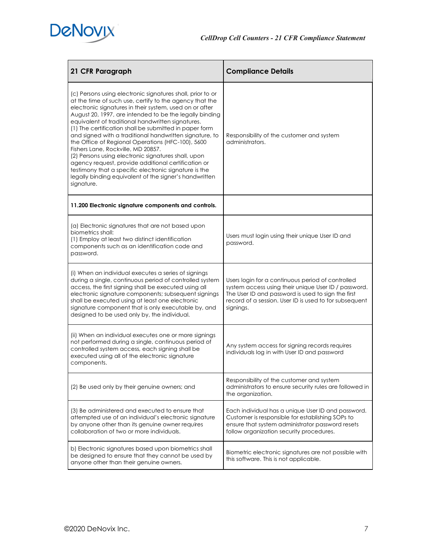

| 21 CFR Paragraph                                                                                                                                                                                                                                                                                                                                                                                                                                                                                                                                                                                                                                                                                                                                                | <b>Compliance Details</b>                                                                                                                                                                                                              |
|-----------------------------------------------------------------------------------------------------------------------------------------------------------------------------------------------------------------------------------------------------------------------------------------------------------------------------------------------------------------------------------------------------------------------------------------------------------------------------------------------------------------------------------------------------------------------------------------------------------------------------------------------------------------------------------------------------------------------------------------------------------------|----------------------------------------------------------------------------------------------------------------------------------------------------------------------------------------------------------------------------------------|
| (c) Persons using electronic signatures shall, prior to or<br>at the time of such use, certify to the agency that the<br>electronic signatures in their system, used on or after<br>August 20, 1997, are intended to be the legally binding<br>equivalent of traditional handwritten signatures.<br>(1) The certification shall be submitted in paper form<br>and signed with a traditional handwritten signature, to<br>the Office of Regional Operations (HFC-100), 5600<br>Fishers Lane, Rockville, MD 20857.<br>(2) Persons using electronic signatures shall, upon<br>agency request, provide additional certification or<br>testimony that a specific electronic signature is the<br>legally binding equivalent of the signer's handwritten<br>signature. | Responsibility of the customer and system<br>administrators.                                                                                                                                                                           |
| 11.200 Electronic signature components and controls.                                                                                                                                                                                                                                                                                                                                                                                                                                                                                                                                                                                                                                                                                                            |                                                                                                                                                                                                                                        |
| (a) Electronic signatures that are not based upon<br>biometrics shall:<br>(1) Employ at least two distinct identification<br>components such as an identification code and<br>password.                                                                                                                                                                                                                                                                                                                                                                                                                                                                                                                                                                         | Users must login using their unique User ID and<br>password.                                                                                                                                                                           |
| (i) When an individual executes a series of signings<br>during a single, continuous period of controlled system<br>access, the first signing shall be executed using all<br>electronic signature components; subsequent signings<br>shall be executed using at least one electronic<br>signature component that is only executable by, and<br>designed to be used only by, the individual.                                                                                                                                                                                                                                                                                                                                                                      | Users login for a continuous period of controlled<br>system access using their unique User ID / password.<br>The User ID and password is used to sign the first<br>record of a session. User ID is used to for subsequent<br>signings. |
| (ii) When an individual executes one or more signings<br>not performed during a single, continuous period of<br>controlled system access, each signing shall be<br>executed using all of the electronic signature<br>components.                                                                                                                                                                                                                                                                                                                                                                                                                                                                                                                                | Any system access for signing records requires<br>individuals log in with User ID and password                                                                                                                                         |
| (2) Be used only by their genuine owners; and                                                                                                                                                                                                                                                                                                                                                                                                                                                                                                                                                                                                                                                                                                                   | Responsibility of the customer and system<br>administrators to ensure security rules are followed in<br>the organization.                                                                                                              |
| (3) Be administered and executed to ensure that<br>attempted use of an individual's electronic signature<br>by anyone other than its genuine owner requires<br>collaboration of two or more individuals.                                                                                                                                                                                                                                                                                                                                                                                                                                                                                                                                                        | Each individual has a unique User ID and password.<br>Customer is responsible for establishing SOPs to<br>ensure that system administrator password resets<br>follow organization security procedures.                                 |
| b) Electronic signatures based upon biometrics shall<br>be designed to ensure that they cannot be used by<br>anyone other than their genuine owners.                                                                                                                                                                                                                                                                                                                                                                                                                                                                                                                                                                                                            | Biometric electronic signatures are not possible with<br>this software. This is not applicable.                                                                                                                                        |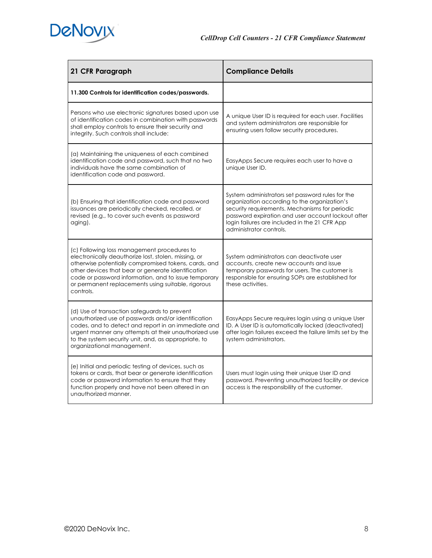

| 21 CFR Paragraph                                                                                                                                                                                                                                                                                                                             | <b>Compliance Details</b>                                                                                                                                                                                                                                                            |
|----------------------------------------------------------------------------------------------------------------------------------------------------------------------------------------------------------------------------------------------------------------------------------------------------------------------------------------------|--------------------------------------------------------------------------------------------------------------------------------------------------------------------------------------------------------------------------------------------------------------------------------------|
| 11.300 Controls for identification codes/passwords.                                                                                                                                                                                                                                                                                          |                                                                                                                                                                                                                                                                                      |
| Persons who use electronic signatures based upon use<br>of identification codes in combination with passwords<br>shall employ controls to ensure their security and<br>integrity. Such controls shall include:                                                                                                                               | A unique User ID is required for each user. Facilities<br>and system administrators are responsible for<br>ensuring users follow security procedures.                                                                                                                                |
| (a) Maintaining the uniqueness of each combined<br>identification code and password, such that no two<br>individuals have the same combination of<br>identification code and password.                                                                                                                                                       | EasyApps Secure requires each user to have a<br>unique User ID.                                                                                                                                                                                                                      |
| (b) Ensuring that identification code and password<br>issuances are periodically checked, recalled, or<br>revised (e.g., to cover such events as password<br>aging).                                                                                                                                                                         | System administrators set password rules for the<br>organization according to the organization's<br>security requirements. Mechanisms for periodic<br>password expiration and user account lockout after<br>login failures are included in the 21 CFR App<br>administrator controls. |
| (c) Following loss management procedures to<br>electronically deauthorize lost, stolen, missing, or<br>otherwise potentially compromised tokens, cards, and<br>other devices that bear or generate identification<br>code or password information, and to issue temporary<br>or permanent replacements using suitable, rigorous<br>controls. | System administrators can deactivate user<br>accounts, create new accounts and issue<br>temporary passwords for users. The customer is<br>responsible for ensuring SOPs are established for<br>these activities.                                                                     |
| (d) Use of transaction safeguards to prevent<br>unauthorized use of passwords and/or identification<br>codes, and to detect and report in an immediate and<br>urgent manner any attempts at their unauthorized use<br>to the system security unit, and, as appropriate, to<br>organizational management.                                     | EasyApps Secure requires login using a unique User<br>ID. A User ID is automatically locked (deactivated)<br>after login failures exceed the failure limits set by the<br>system administrators.                                                                                     |
| (e) Initial and periodic testing of devices, such as<br>tokens or cards, that bear or generate identification<br>code or password information to ensure that they<br>function properly and have not been altered in an<br>unauthorized manner.                                                                                               | Users must login using their unique User ID and<br>password. Preventing unauthorized facility or device<br>access is the responsibility of the customer.                                                                                                                             |